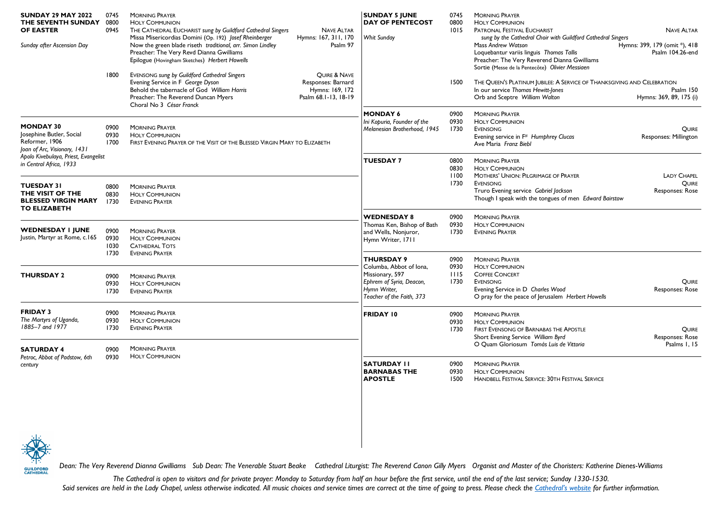| <b>SUNDAY 29 MAY 2022</b><br>THE SEVENTH SUNDAY 0800<br><b>OF EASTER</b><br>Sunday after Ascension Day | 0745<br>0945                 | <b>MORNING PRAYER</b><br><b>HOLY COMMUNION</b><br>THE CATHEDRAL EUCHARIST sung by Guildford Cathedral Singers<br>Missa Misericordias Domini (Op. 192) Josef Rheinberger<br>Now the green blade riseth traditional, arr. Simon Lindley<br>Preacher: The Very Revd Dianna Gwilliams<br>Epilogue (Hovingham Sketches) Herbert Howells | <b>NAVE ALTAR</b><br>Hymns: 167, 311, 170<br>Psalm 97                                    | <b>SUNDAY 5 JUNE</b><br><b>DAY OF PENTECOST</b><br>Whit Sunday                                                                           | 0745<br>0800<br>1015         | <b>MORNING PRAYER</b><br><b>HOLY COMMUNION</b><br>PATRONAL FESTIVAL EUCHARIST<br>sung by the Cathedral Choir with Guildford Cathedral Singers<br>Mass Andrew Watson<br>Loquebantur variis linguis Thomas Tallis<br>Preacher: The Very Reverend Dianna Gwilliams<br>Sortie (Messe de la Pentecôte) Olivier Messiaen | <b>NAVE ALTAR</b><br>Hymns: 399, 179 (omit *), 418<br>Psalm 104.26-end |
|--------------------------------------------------------------------------------------------------------|------------------------------|------------------------------------------------------------------------------------------------------------------------------------------------------------------------------------------------------------------------------------------------------------------------------------------------------------------------------------|------------------------------------------------------------------------------------------|------------------------------------------------------------------------------------------------------------------------------------------|------------------------------|--------------------------------------------------------------------------------------------------------------------------------------------------------------------------------------------------------------------------------------------------------------------------------------------------------------------|------------------------------------------------------------------------|
|                                                                                                        | 1800                         | EVENSONG sung by Guildford Cathedral Singers<br>Evening Service in F George Dyson<br>Behold the tabernacle of God William Harris<br>Preacher: The Reverend Duncan Myers<br>Choral No 3 César Franck                                                                                                                                | <b>OUIRE &amp; NAVE</b><br>Responses: Barnard<br>Hymns: 169, 172<br>Psalm 68.1-13, 18-19 |                                                                                                                                          | 1500                         | THE QUEEN'S PLATINUM JUBILEE: A SERVICE OF THANKSGIVING AND CELEBRATION<br>In our service Thomas Hewitt-Jones<br>Orb and Sceptre William Walton                                                                                                                                                                    | Psalm 150<br>Hymns: 369, 89, 175 (i)                                   |
| <b>MONDAY 30</b><br>Josephine Butler, Social<br>Reformer, 1906<br>Joan of Arc, Visionary, 1431         | 0900<br>0930<br>1700         | <b>MORNING PRAYER</b><br><b>HOLY COMMUNION</b><br>FIRST EVENING PRAYER OF THE VISIT OF THE BLESSED VIRGIN MARY TO ELIZABETH                                                                                                                                                                                                        |                                                                                          | <b>MONDAY 6</b><br>Ini Kopuria, Founder of the<br>Melanesian Brotherhood, 1945                                                           | 0900<br>0930<br>1730         | <b>MORNING PRAYER</b><br><b>HOLY COMMUNION</b><br><b>EVENSONG</b><br>Evening service in F <sup>#</sup> Humphrey Clucas<br>Ave Maria Franz Biebl                                                                                                                                                                    | QUIRE<br>Responses: Millington                                         |
| Apolo Kivebulaya, Priest, Evangelist<br>in Central Africa, 1933                                        |                              |                                                                                                                                                                                                                                                                                                                                    |                                                                                          | <b>TUESDAY 7</b>                                                                                                                         | 0800<br>0830<br>1100         | <b>MORNING PRAYER</b><br><b>HOLY COMMUNION</b><br><b>MOTHERS' UNION: PILGRIMAGE OF PRAYER</b>                                                                                                                                                                                                                      | <b>LADY CHAPEL</b>                                                     |
| <b>TUESDAY 31</b><br>THE VISIT OF THE<br><b>BLESSED VIRGIN MARY</b><br><b>TO ELIZABETH</b>             | 0800<br>0830<br>1730         | <b>MORNING PRAYER</b><br><b>HOLY COMMUNION</b><br><b>EVENING PRAYER</b>                                                                                                                                                                                                                                                            |                                                                                          |                                                                                                                                          | 1730                         | <b>EVENSONG</b><br>Truro Evening service Gabriel Jackson<br>Though I speak with the tongues of men Edward Bairstow                                                                                                                                                                                                 | QUIRE<br>Responses: Rose                                               |
| <b>WEDNESDAY I JUNE</b><br>Justin, Martyr at Rome, c.165                                               | 0900<br>0930<br>1030<br>1730 | <b>MORNING PRAYER</b><br><b>HOLY COMMUNION</b><br><b>CATHEDRAL TOTS</b>                                                                                                                                                                                                                                                            |                                                                                          | <b>WEDNESDAY 8</b><br>Thomas Ken, Bishop of Bath<br>and Wells, Nonjuror,<br>Hymn Writer, 1711                                            | 0900<br>0930<br>1730         | <b>MORNING PRAYER</b><br><b>HOLY COMMUNION</b><br><b>EVENING PRAYER</b>                                                                                                                                                                                                                                            |                                                                        |
| <b>THURSDAY 2</b>                                                                                      | 0900<br>0930<br>1730         | <b>EVENING PRAYER</b><br><b>MORNING PRAYER</b><br><b>HOLY COMMUNION</b><br><b>EVENING PRAYER</b>                                                                                                                                                                                                                                   |                                                                                          | <b>THURSDAY 9</b><br>Columba, Abbot of Iona,<br>Missionary, 597<br>Ephrem of Syria, Deacon,<br>Hymn Writer,<br>Teacher of the Faith, 373 | 0900<br>0930<br>1115<br>1730 | <b>MORNING PRAYER</b><br><b>HOLY COMMUNION</b><br><b>COFFEE CONCERT</b><br><b>EVENSONG</b><br>Evening Service in D Charles Wood<br>O pray for the peace of Jerusalem Herbert Howells                                                                                                                               | QUIRE<br>Responses: Rose                                               |
| <b>FRIDAY 3</b><br>The Martyrs of Uganda,<br>1885-7 and 1977                                           | 0900<br>0930<br>1730         | <b>MORNING PRAYER</b><br><b>HOLY COMMUNION</b><br><b>EVENING PRAYER</b>                                                                                                                                                                                                                                                            |                                                                                          | <b>FRIDAY 10</b>                                                                                                                         | 0900<br>0930<br>1730         | <b>MORNING PRAYER</b><br><b>HOLY COMMUNION</b><br>FIRST EVENSONG OF BARNABAS THE APOSTLE<br>Short Evening Service William Byrd                                                                                                                                                                                     | QUIRE<br>Responses: Rose                                               |
| <b>SATURDAY 4</b><br>Petroc, Abbot of Padstow, 6th<br>century                                          | 0900<br>0930                 | <b>MORNING PRAYER</b><br><b>HOLY COMMUNION</b>                                                                                                                                                                                                                                                                                     |                                                                                          | <b>SATURDAY II</b><br><b>BARNABAS THE</b><br><b>APOSTLE</b>                                                                              | 0900<br>0930<br>1500         | O Quam Gloriosum Tomás Luis de Vittoria<br><b>MORNING PRAYER</b><br><b>HOLY COMMUNION</b><br>HANDBELL FESTIVAL SERVICE: 30TH FESTIVAL SERVICE                                                                                                                                                                      | Psalms 1, 15                                                           |



*Dean: The Very Reverend Dianna Gwilliams Sub Dean: The Venerable Stuart Beake Cathedral Liturgist: The Reverend Canon Gilly Myers Organist and Master of the Choristers: Katherine Dienes-Williams*

*The Cathedral is open to visitors and for private prayer: Monday to Saturday from half an hour before the first service, until the end of the last service; Sunday 1330-1530.* Said services are held in the Lady Chapel, unless otherwise indicated. All music choices and service times are correct at the time of going to press. Please check the [Cathedral's websit](https://www.guildford-cathedral.org/)e for further information.